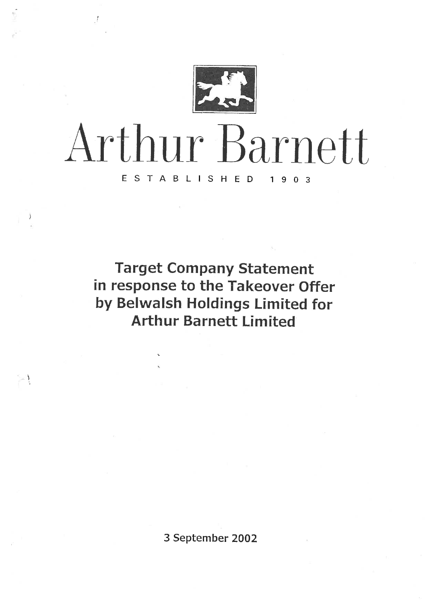

# Arthur Barnett ESTABLISHED 1903

<sup>3</sup>

 $\rightarrow$  1

Target Company Statement in response to the Takeover Offer by Belwalsh Holdings Limited for Arthur Barnett Limited

3 September 2002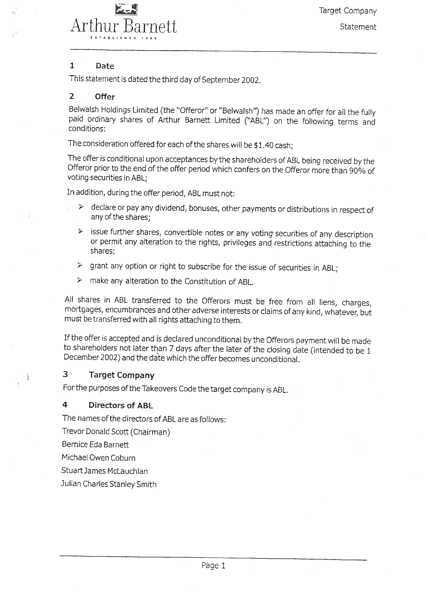

Target Company

Statement

#### 1 Date

This statement is dated the third day of September 2002.

#### 2 Offer

Belwalsh Holdings Limited (the "Offeror" or "Belwalsh") has made an offer for all the fully paid ordinary shares of Arthur Barnett Limited ("ABL") on the following terms and .conditions;

The consideration offered for each of the shares will be \$1.40 cash;

The offer is conditional upon acceptances by the shareholders of ABL being received by the Offeror prior to the end of the offer period which confers on the Offeror more than 90% of voting securities in ABL;

In addition, during the offer period, ABL must not:

- $\triangleright$  declare or pay any dividend, bonuses, other payments or distributions in respect of any of the shares;
	- $\triangleright$  issue further shares, convertible notes or any voting securities of any description or permit any alteration to the rights, privileges and restrictions attaching to the shares;
- $\triangleright$  grant any option or right to subscribe for the issue of securities in ABL:
- $\triangleright$  make any alteration to the Constitution of ABL.

All shares in ABL transferred to the Offerors must be free from all liens, charges, mortgages, encumbrances and other adverse interests or claims of any kind, whatever,'but must be transferred with all rights attaching to them.

If the offer is accepted and is declared unconditional by the Offerors payment will be made to shareholders not later than 7 days after the later of the closing date (intended to be 1 December 2002) and the date which the offer becomes unconditional.

#### 3 Target Company

For the purposes of the Takeovers Code the target company is ABL.

#### 4 Directors of ABL

The names of the directors of ABL are as follows:

Trevor Donald Scott (Chairman)

Bemice Eda Barnett

J,

Michael Owen Coburn

StuartJames McLauchlan

Julian Charles Stanley Smith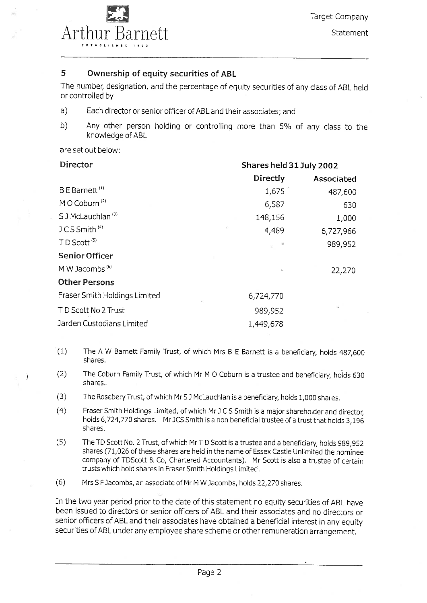

### 5 Ownership of equity securities of ABL

The number, designation, and the percentage of equity securities of any class of ABL held or controlled by

- a) Each director or senior officer of ABL and their associates; and
- b) Any other person holding or controlling more than 5% of any class to the knowledge of ABL

are set out below:

| Director                      | Shares held 31 July 2002 |            |  |
|-------------------------------|--------------------------|------------|--|
|                               | Directly                 | Associated |  |
| B E Barnett <sup>(1)</sup>    | 1,675                    | 487,600    |  |
| M O Coburn <sup>(2)</sup>     | 6,587                    | 630        |  |
| S J McLauchlan <sup>(3)</sup> | 148,156                  | 1,000      |  |
| JCS Smith <sup>(4)</sup>      | 4,489                    | 6,727,966  |  |
| TD Scott <sup>(5)</sup>       |                          | 989,952    |  |
| <b>Senior Officer</b>         |                          |            |  |
| M W Jacombs <sup>(6)</sup>    |                          | 22,270     |  |
| <b>Other Persons</b>          |                          |            |  |
| Fraser Smith Holdings Limited | 6,724,770                |            |  |
| TD Scott No 2 Trust           | 989,952                  | ¥          |  |
| Jarden Custodians Limited     | 1,449,678                |            |  |

- (1) The A W Bamett Family Trust, of which Mrs B E Barnett is a beneficiary, holds 487,600 shares,
- (2) The Coburn Family Trust, of which Mr M 0 Coburn is a trustee and beneficiary, holds 630 shares.
- (3) The Rosebery Trust, of which Mr SJMcLauchlan is a beneficiary, holds 1,000 shares.
- (4) Fraser Smith Holdings Limited, of which Mr J C S Smith is a major shareholder and director, holds 6,724,770 shares. Mr JCS Smith is a non beneficial trustee of a trust that holds 3,196 shares.
- (5) The TD Scott No. 2 Trust, of which Mr T D Scott is a trustee and a beneficiary, holds 989,952 shares (71,026 of these shares are held in the name of Essex Castle Unlimited the nominee company of TDScott & Co, Chartered Accountants). Mr Scott is also a trustee of certain trusts which hold shares in Fraser Smith Holdings Limited.
- (6) Mrs 5 F Jacombs, an associate of Mr M W Jacombs, holds 22,270 shares.

In the two year period prior to the date of this statement no equity securities of ABL have been issued to directors or senior officers of ABL and their associates and no directors or senior officers of ABL and their associates have obtained a beneficial interest in any equity securities of ABL under any employee share scheme or other remuneration arrangement.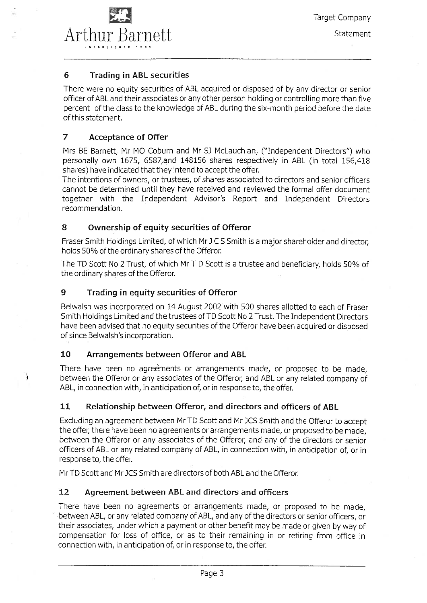

#### 6 Trading in ABL securities

There were no equity securities of ABL acquired or disposed of by any director or senior officer of ABL and their associates or any other person holding or controlling more than five percent of the class to the knowledge of ABL during the six-month period before the date of this statement.

#### 7 Acceptance of Offer

Mrs BE Barnett, Mr MO Coburn and Mr SJ McLauchlan, ("Independent Directors") who personally own 1675, 6587,and 148156 shares respectively in ABL (in total 156,418 shares) have indicated that they intend to accept the offer.

The intentions of owners, or trustees, of shares associated to directors and senior officers cannot be determined until they have received and reviewed the formal offer document together with the Independent Advisor's Report and Independent Directors recommendation.

#### 8 Ownership of equity securities of Offeror

Fraser Smith Holdings Limited, of which Mr J C S Smith is a major shareholder and director, holds 50% of the ordinary shares of the Offeror.

The TD Scott No 2 Trust, of which Mr T D Scott is a trustee and beneficiary, holds 50% of the ordinary shares of the Offeror.

#### 9 Trading in equity securities of Offeror

Belwalsh was incorporated on 14 August 2002 with 500 shares allotted to each of Fraser Smith Holdings Limited and the trustees of TD Scott No 2 Trust. The Independent Directors have been advised that no equity securities of the Offeror have been acquired or disposed of since Belwalsh's incorporation.

#### 10 Arrangements between Offeror and ABL

 $\mathcal{E}$ 

There have been no agreements or arrangements made, or proposed to be made, between the Offeror or any associates of the Offeror, and ABL or any related company of ABL, in connection with, in anticipation of, or in response to, the offer.

#### 11 Relationship between Offeror, and directors and officers of ABL

Excluding an agreement between Mr TD Scott and Mr JCS Smith and the Offeror to accept the offer, there have been no agreements or arrangements made, or proposed to be made, between the Offeror or any associates of the Offeror, and any of the directors or senior officers of ABL or any related company of ABL, in connection with, in anticipation of, or in response to, the offer.

Mr TD Scott and MrJCS Smith are directors of both ABL and the Offeror.

#### 12 Agreement between ABL and directors and officers

There have been no agreements or arrangements made, or proposed to be made, between ABL, or any related company of ABL, and any of the directors or senior officers, or their associates, under which a payment or other benefit may be made or given by way of compensation for loss of office, or as to their remaining in or retiring from office in connection with, in anticipation of, or in response to, the offer.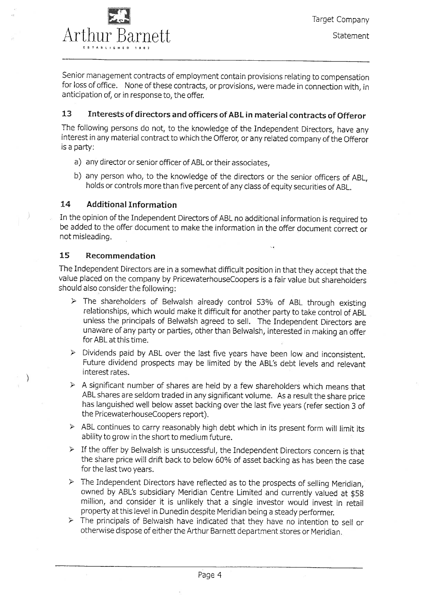

Senior management contracts of employment contain provisions relating to compensation for loss of office. None of these contracts, or provisions, were made in connection with, in anticipation of, or in response to, the offer.

#### 13 Interests of directors and officers of ABL in material contracts of Offeror

The following persons do not, to the knowledge of the Independent Directors, have any interest in any material contract to which the Offeror, or any related company of the Offeror is a party:

- a) any director or senior officer of ABL or their associates,
- b) any person who, to the knowledge of the directors or the senior officers of ABL, holds or controls more than five percent of any class of equity securities of ABL.

#### 14 Additional Information

In the opinion of the Independent Directors of ABL no additional information is required to be added to the offer document to make the information in the offer document correct or not misleading.

Ü.

#### 15 Recommendation

€

The Independent Directors are in a somewhat difficult position in that they accept that the value placed on the company by PricewaterhouseCoopers is a fair value but shareholders should also consider the following:

- $\triangleright$  The shareholders of Belwalsh already control 53% of ABL through existing relationships, which would make it difficult for another party to take control of ABL unless the principals of Belwalsh agreed to sell. The Independent Directors are unaware of any party or parties, other than Belwalsh, interested in making an offer for ABL at this time.
- $\triangleright$  Dividends paid by ABL over the last five years have been low and inconsistent. Future dividend prospects may be limited by the ABL's debt levels and relevant interest rates.
- $\triangleright$  A significant number of shares are held by a few shareholders which means that ABL shares are seldom traded in any significant volume. As a result the share price has languished well below asset backing over the last five years (refer section 3 of the PricewaterhouseCoopers report).
- $\triangleright$  ABL continues to carry reasonably high debt which in its present form will limit its ability to grow in the short to medium future.
- $\triangleright$  If the offer by Belwalsh is unsuccessful, the Independent Directors concern is that the share price will drift back to below 60% of asset backing as has been the case for the last two years.
- $\triangleright$  The Independent Directors have reflected as to the prospects of selling Meridian, owned by ABL's subsidiary Meridian Centre Limited and currently valued at \$58 million, and consider it is unlikely that a single investor would invest in retail property at this level in Dunedin despite Meridian being a steady performer.
- $\triangleright$  The principals of Belwalsh have indicated that they have no intention to sell or otherwise dispose of either the Arthur Barnett department stores or Meridian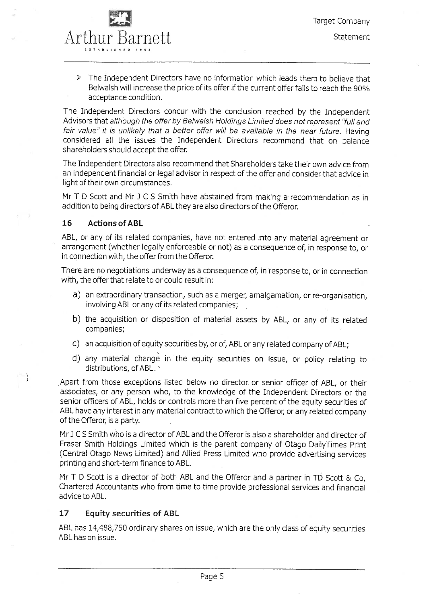

 $\triangleright$  The Independent Directors have no information which leads them to believe that Belwalsh will increase the price of its offer if the current offer fails to reach the 90% acceptance condition.

The Independent Directors concur with the conclusion reached by the Independent Advisors that although the offer by Belwalsh Holdings Limited does not represent "full and fair value" it is unlikely that a better offer will be available in the near future. Having considered all the issues the Independent Directors recommend that on balance shareholders should accept the offer.

The Independent Directors also recommend that Shareholders take their own advice from an independent financial or legal advisor in respect of the offer and consider that advice in light of their own circumstances.

Mr T D Scott and Mr J C S Smith have abstained from making a recommendation as in addition to being directors of ABL they are also directors of the Offerd Mr TD Scott and Mr J C S Smith have abstained from making a recommendation as<br>addition to being directors of ABL they are also directors of the Offeror.<br>**16** Actions of ABL

È

ABL, or any of its related companies, have not entered into any material agreement or arrangement (whether legally enforceable or not) as a consequence of, in response to, or in connection with, the offer from the Offeror.

There are no negotiations underway as a consequence of, in response to, or in connection with, the offer that relate to or could result in:

- a) an extraordinary transaction, such as a merger, amalgamation, or re-organisation, involving ABL or any of its related companies;
- b) the acquisition or disposition of material assets by ABL, or any of its related companies;
- c) an acquisition of equity securities by, or of, ABL or any related company of ABL;
- d) any material change in the equity securities on issue, or policy relating to distributions, of ABL.

.Apart from those exceptions listed below no director, or senior officer of ABL, or their associates, or any person who, to the knowledge of the Independent Directors or the senior officers of ABL, holds or controls more than five percent of the equity securities of ABL have any interest in any material contract to which the Offeror, or any related company of the Offeror, is a party.

Mr J CS Smith who is a director of ABL and the Offeror is also a shareholder and director of Fraser Smith Holdings Limited which is the parent company of Otago DailyTimes Print (Central Otago News Limited) and Allied Press Limited who provide advertising services printing and short-term finance to ABL.

Mr T D Scott is a director of both ABL and the Offeror and a partner in TD Scott & Co, Chartered Accountants who from time to time provide professional services and financial advice to ABL.

#### 17 Equity securities of ABL

ABL has 14,488,750 ordinary shares on issue, which are the only class of equity securities ABL has on issue.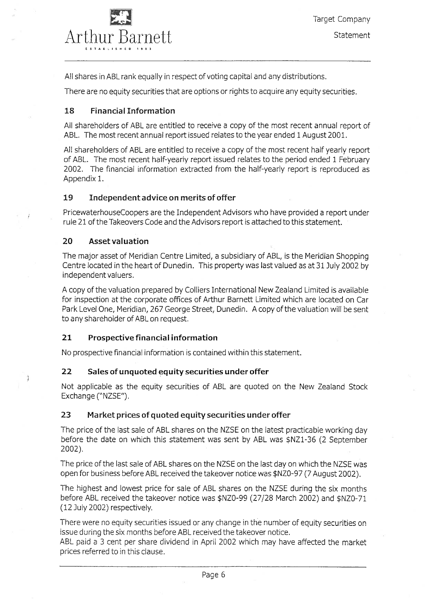

All shares in ABL rank equally in respect of voting capital and any distributions.

There are no equity securities that are options or rights to acquire any equity securities.

#### 18 Financial Information

All shareholders of ABL are entitled to receive a copy of the most recent annual report of ABL. The most recent annual report issued relates to the year ended 1 August 2001.

All shareholders of ABL are entitled to receive a copy of the most recent half yearly report of ABL. The most recent half-yearly report issued relates to the period ended 1 February 2002. The financial information extracted from the half-yearly report is reproduced as Appendix 1.

#### 19 Independent advice on merits of offer

PricewaterhouseCoopers are the Independent Advisors who have provided a report under rule 21 of the Takeovers Code and the Advisors report is attached to this statement.

#### 20 Asset valuation

Ĵ.

The major asset of Meridian Centre Limited, a subsidiary of ABL, is the Meridian Shopping Centre located in the heart of Dunedin. This property was last valued as at 31 July 2002 by independent valuers.

A copy of the valuation prepared by Colliers International New Zealand Limited is available for inspection at the corporate offices of Arthur Barnett Limited which are located on Car Park Level One, Meridian, 267 George Street, Dunedin. A copy of the valuation will be sent to any shareholder of ABL on request.

#### 21 Prospective financial information

No prospective financial information is contained within this statement.

#### 22 Sales of unquoted equity securities under offer

Not applicable as the equity securities of ABL are quoted on the New Zealand Stock Exchange ("NZSE").

#### 23 Market prices of quoted equity securities under offer

The price of the last sale of ABL shares on the NZSE on the latest practicable working day before the date on which this statement was sent by ABL was \$NZ1-36 (2 September 2002).

The price of the last sale of ABL shares on the NZSE on the last day on which the NZSE was open for business before ABL received the takeover notice was \$NZO-97 (7 August 2002).

The highest and lowest price for sale of ABL shares on the NZSE during the six months before ABL received the takeover notice was \$NZO-99 (27/28 March 2002) and \$NZO-71 (12 July 2002) respectively.

There were no equity securities issued or any change in the number of equity securities on issue during the six months before ABL received the takeover notice.

ABL paid a 3 cent per share dividend in April 2002 which may have affected the market prices referred to in this clause.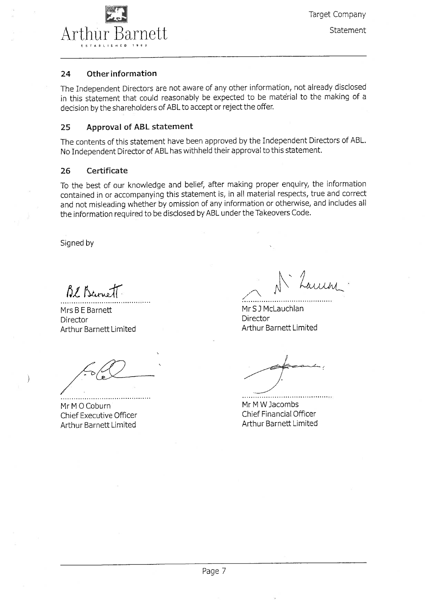

Target Company

**Statement** 

#### 24 Other information

The Independent Directors are not aware of any other information, not already disclosed in this statement that could reasonably be expected to be material to the making of a decision by the shareholders of ABL to accept or reject the offer.

#### 25 Approval of ABL statement

The contents of this statement have been approved by the Independent Directors of ABL. No Independent Director of ABL has withheld their approval to this statement.

#### 26 Certificate

To the best of our knowledge and belief, after making proper enquiry, the information contained in or accompanying this statement is, in all material respects, true and correct and not misleading whether by omission of any information or otherwise, and includes all the information required to be disclosed by ABL under the Takeovers Code.

Signed by

Bl. Barnett

Mrs B E Barnett Director Arthur Barnett Limited

Mr M O Coburn Chief Executive Officer Arthur Barnett Limited

Luiini

MrSJMcLauchlan Director Arthur Barnett Limited

Mr M W Jacombs Chief Financial Officer Arthur Barnett Limited